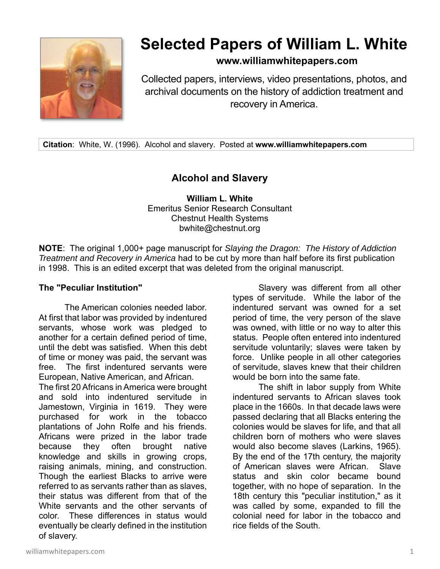

# **Selected Papers of William L. White**

## **www.williamwhitepapers.com**

Collected papers, interviews, video presentations, photos, and archival documents on the history of addiction treatment and recovery in America.

**Citation**: White, W. (1996). Alcohol and slavery. Posted at **www.williamwhitepapers.com** 

# **Alcohol and Slavery**

**William L. White**  Emeritus Senior Research Consultant Chestnut Health Systems bwhite@chestnut.org

**NOTE**: The original 1,000+ page manuscript for *Slaying the Dragon: The History of Addiction Treatment and Recovery in America* had to be cut by more than half before its first publication in 1998. This is an edited excerpt that was deleted from the original manuscript.

#### **The "Peculiar Institution"**

The American colonies needed labor. At first that labor was provided by indentured servants, whose work was pledged to another for a certain defined period of time, until the debt was satisfied. When this debt of time or money was paid, the servant was free. The first indentured servants were European, Native American, and African.

The first 20 Africans in America were brought and sold into indentured servitude in Jamestown, Virginia in 1619. They were purchased for work in the tobacco plantations of John Rolfe and his friends. Africans were prized in the labor trade because they often brought native knowledge and skills in growing crops, raising animals, mining, and construction. Though the earliest Blacks to arrive were referred to as servants rather than as slaves, their status was different from that of the White servants and the other servants of color. These differences in status would eventually be clearly defined in the institution of slavery.

Slavery was different from all other types of servitude. While the labor of the indentured servant was owned for a set period of time, the very person of the slave was owned, with little or no way to alter this status. People often entered into indentured servitude voluntarily; slaves were taken by force. Unlike people in all other categories of servitude, slaves knew that their children would be born into the same fate.

 The shift in labor supply from White indentured servants to African slaves took place in the 1660s. In that decade laws were passed declaring that all Blacks entering the colonies would be slaves for life, and that all children born of mothers who were slaves would also become slaves (Larkins, 1965). By the end of the 17th century, the majority of American slaves were African. Slave status and skin color became bound together, with no hope of separation. In the 18th century this "peculiar institution," as it was called by some, expanded to fill the colonial need for labor in the tobacco and rice fields of the South.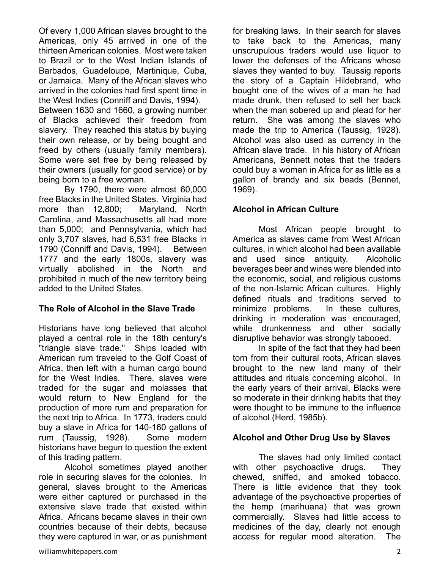Of every 1,000 African slaves brought to the Americas, only 45 arrived in one of the thirteen American colonies. Most were taken to Brazil or to the West Indian Islands of Barbados, Guadeloupe, Martinique, Cuba, or Jamaica. Many of the African slaves who arrived in the colonies had first spent time in the West Indies (Conniff and Davis, 1994).

Between 1630 and 1660, a growing number of Blacks achieved their freedom from slavery. They reached this status by buying their own release, or by being bought and freed by others (usually family members). Some were set free by being released by their owners (usually for good service) or by being born to a free woman.

By 1790, there were almost 60,000 free Blacks in the United States. Virginia had more than 12,800; Maryland, North Carolina, and Massachusetts all had more than 5,000; and Pennsylvania, which had only 3,707 slaves, had 6,531 free Blacks in 1790 (Conniff and Davis, 1994). Between 1777 and the early 1800s, slavery was virtually abolished in the North and prohibited in much of the new territory being added to the United States.

## **The Role of Alcohol in the Slave Trade**

Historians have long believed that alcohol played a central role in the 18th century's "triangle slave trade." Ships loaded with American rum traveled to the Golf Coast of Africa, then left with a human cargo bound for the West Indies. There, slaves were traded for the sugar and molasses that would return to New England for the production of more rum and preparation for the next trip to Africa. In 1773, traders could buy a slave in Africa for 140-160 gallons of rum (Taussig, 1928). Some modern historians have begun to question the extent of this trading pattern.

 Alcohol sometimes played another role in securing slaves for the colonies. In general, slaves brought to the Americas were either captured or purchased in the extensive slave trade that existed within Africa. Africans became slaves in their own countries because of their debts, because they were captured in war, or as punishment for breaking laws. In their search for slaves to take back to the Americas, many unscrupulous traders would use liquor to lower the defenses of the Africans whose slaves they wanted to buy. Taussig reports the story of a Captain Hildebrand, who bought one of the wives of a man he had made drunk, then refused to sell her back when the man sobered up and plead for her return. She was among the slaves who made the trip to America (Taussig, 1928). Alcohol was also used as currency in the African slave trade. In his history of African Americans, Bennett notes that the traders could buy a woman in Africa for as little as a gallon of brandy and six beads (Bennet, 1969).

#### **Alcohol in African Culture**

Most African people brought to America as slaves came from West African cultures, in which alcohol had been available and used since antiquity. Alcoholic beverages beer and wines were blended into the economic, social, and religious customs of the non-Islamic African cultures. Highly defined rituals and traditions served to minimize problems. In these cultures, drinking in moderation was encouraged, while drunkenness and other socially disruptive behavior was strongly tabooed.

In spite of the fact that they had been torn from their cultural roots, African slaves brought to the new land many of their attitudes and rituals concerning alcohol. In the early years of their arrival, Blacks were so moderate in their drinking habits that they were thought to be immune to the influence of alcohol (Herd, 1985b).

#### **Alcohol and Other Drug Use by Slaves**

The slaves had only limited contact with other psychoactive drugs. They chewed, sniffed, and smoked tobacco. There is little evidence that they took advantage of the psychoactive properties of the hemp (marihuana) that was grown commercially. Slaves had little access to medicines of the day, clearly not enough access for regular mood alteration. The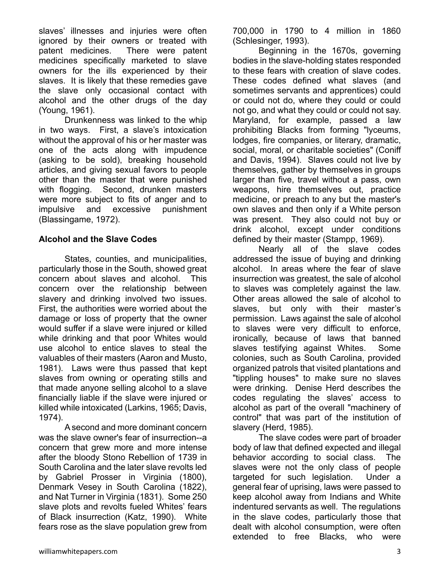slaves' illnesses and injuries were often ignored by their owners or treated with patent medicines. There were patent medicines specifically marketed to slave owners for the ills experienced by their slaves. It is likely that these remedies gave the slave only occasional contact with alcohol and the other drugs of the day (Young, 1961).

 Drunkenness was linked to the whip in two ways. First, a slave's intoxication without the approval of his or her master was one of the acts along with impudence (asking to be sold), breaking household articles, and giving sexual favors to people other than the master that were punished with flogging. Second, drunken masters were more subject to fits of anger and to impulsive and excessive punishment (Blassingame, 1972).

#### **Alcohol and the Slave Codes**

States, counties, and municipalities, particularly those in the South, showed great concern about slaves and alcohol. This concern over the relationship between slavery and drinking involved two issues. First, the authorities were worried about the damage or loss of property that the owner would suffer if a slave were injured or killed while drinking and that poor Whites would use alcohol to entice slaves to steal the valuables of their masters (Aaron and Musto, 1981). Laws were thus passed that kept slaves from owning or operating stills and that made anyone selling alcohol to a slave financially liable if the slave were injured or killed while intoxicated (Larkins, 1965; Davis, 1974).

A second and more dominant concern was the slave owner's fear of insurrection--a concern that grew more and more intense after the bloody Stono Rebellion of 1739 in South Carolina and the later slave revolts led by Gabriel Prosser in Virginia (1800), Denmark Vesey in South Carolina (1822), and Nat Turner in Virginia (1831). Some 250 slave plots and revolts fueled Whites' fears of Black insurrection (Katz, 1990). White fears rose as the slave population grew from

700,000 in 1790 to 4 million in 1860 (Schlesinger, 1993).

Beginning in the 1670s, governing bodies in the slave-holding states responded to these fears with creation of slave codes. These codes defined what slaves (and sometimes servants and apprentices) could or could not do, where they could or could not go, and what they could or could not say. Maryland, for example, passed a law prohibiting Blacks from forming "lyceums, lodges, fire companies, or literary, dramatic, social, moral, or charitable societies" (Coniff and Davis, 1994). Slaves could not live by themselves, gather by themselves in groups larger than five, travel without a pass, own weapons, hire themselves out, practice medicine, or preach to any but the master's own slaves and then only if a White person was present. They also could not buy or drink alcohol, except under conditions defined by their master (Stampp, 1969).

Nearly all of the slave codes addressed the issue of buying and drinking alcohol. In areas where the fear of slave insurrection was greatest, the sale of alcohol to slaves was completely against the law. Other areas allowed the sale of alcohol to slaves, but only with their master's permission. Laws against the sale of alcohol to slaves were very difficult to enforce, ironically, because of laws that banned slaves testifying against Whites. Some colonies, such as South Carolina, provided organized patrols that visited plantations and "tippling houses" to make sure no slaves were drinking. Denise Herd describes the codes regulating the slaves' access to alcohol as part of the overall "machinery of control" that was part of the institution of slavery (Herd, 1985).

The slave codes were part of broader body of law that defined expected and illegal behavior according to social class. The slaves were not the only class of people targeted for such legislation. Under a general fear of uprising, laws were passed to keep alcohol away from Indians and White indentured servants as well. The regulations in the slave codes, particularly those that dealt with alcohol consumption, were often extended to free Blacks, who were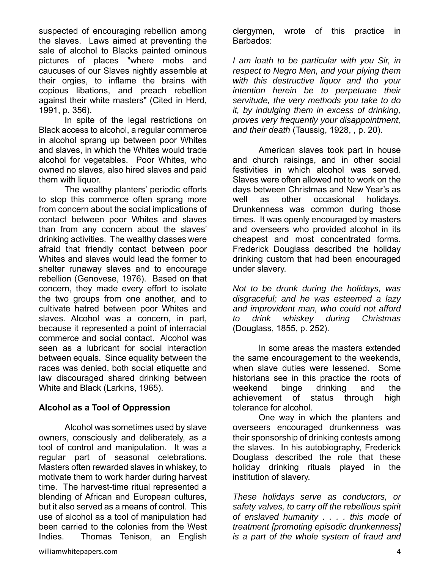suspected of encouraging rebellion among the slaves. Laws aimed at preventing the sale of alcohol to Blacks painted ominous pictures of places "where mobs and caucuses of our Slaves nightly assemble at their orgies, to inflame the brains with copious libations, and preach rebellion against their white masters" (Cited in Herd, 1991, p. 356).

In spite of the legal restrictions on Black access to alcohol, a regular commerce in alcohol sprang up between poor Whites and slaves, in which the Whites would trade alcohol for vegetables. Poor Whites, who owned no slaves, also hired slaves and paid them with liquor.

 The wealthy planters' periodic efforts to stop this commerce often sprang more from concern about the social implications of contact between poor Whites and slaves than from any concern about the slaves' drinking activities. The wealthy classes were afraid that friendly contact between poor Whites and slaves would lead the former to shelter runaway slaves and to encourage rebellion (Genovese, 1976). Based on that concern, they made every effort to isolate the two groups from one another, and to cultivate hatred between poor Whites and slaves. Alcohol was a concern, in part, because it represented a point of interracial commerce and social contact. Alcohol was seen as a lubricant for social interaction between equals. Since equality between the races was denied, both social etiquette and law discouraged shared drinking between White and Black (Larkins, 1965).

#### **Alcohol as a Tool of Oppression**

Alcohol was sometimes used by slave owners, consciously and deliberately, as a tool of control and manipulation. It was a regular part of seasonal celebrations. Masters often rewarded slaves in whiskey, to motivate them to work harder during harvest time. The harvest-time ritual represented a blending of African and European cultures, but it also served as a means of control. This use of alcohol as a tool of manipulation had been carried to the colonies from the West Indies. Thomas Tenison, an English

clergymen, wrote of this practice in Barbados:

*I am loath to be particular with you Sir, in respect to Negro Men, and your plying them with this destructive liquor and tho your intention herein be to perpetuate their servitude, the very methods you take to do it, by indulging them in excess of drinking, proves very frequently your disappointment, and their death* (Taussig, 1928, , p. 20).

American slaves took part in house and church raisings, and in other social festivities in which alcohol was served. Slaves were often allowed not to work on the days between Christmas and New Year's as well as other occasional holidays. Drunkenness was common during those times. It was openly encouraged by masters and overseers who provided alcohol in its cheapest and most concentrated forms. Frederick Douglass described the holiday drinking custom that had been encouraged under slavery.

*Not to be drunk during the holidays, was disgraceful; and he was esteemed a lazy and improvident man, who could not afford to drink whiskey during Christmas*  (Douglass, 1855, p. 252).

In some areas the masters extended the same encouragement to the weekends, when slave duties were lessened. Some historians see in this practice the roots of weekend binge drinking and the achievement of status through high tolerance for alcohol.

One way in which the planters and overseers encouraged drunkenness was their sponsorship of drinking contests among the slaves. In his autobiography, Frederick Douglass described the role that these holiday drinking rituals played in the institution of slavery.

*These holidays serve as conductors, or safety valves, to carry off the rebellious spirit of enslaved humanity . . . . this mode of treatment [promoting episodic drunkenness] is a part of the whole system of fraud and*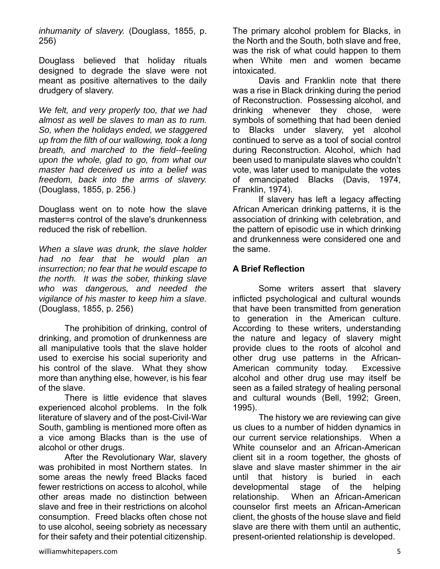*inhumanity of slavery.* (Douglass, 1855, p. 256)

Douglass believed that holiday rituals designed to degrade the slave were not meant as positive alternatives to the daily drudgery of slavery.

*We felt, and very properly too, that we had almost as well be slaves to man as to rum. So, when the holidays ended, we staggered up from the filth of our wallowing, took a long breath, and marched to the field--feeling upon the whole, glad to go, from what our master had deceived us into a belief was freedom, back into the arms of slavery.* (Douglass, 1855, p. 256.)

Douglass went on to note how the slave master=s control of the slave's drunkenness reduced the risk of rebellion.

*When a slave was drunk, the slave holder had no fear that he would plan an insurrection; no fear that he would escape to the north. It was the sober, thinking slave who was dangerous, and needed the vigilance of his master to keep him a slave.* (Douglass, 1855, p. 256)

The prohibition of drinking, control of drinking, and promotion of drunkenness are all manipulative tools that the slave holder used to exercise his social superiority and his control of the slave. What they show more than anything else, however, is his fear of the slave.

There is little evidence that slaves experienced alcohol problems. In the folk literature of slavery and of the post-Civil-War South, gambling is mentioned more often as a vice among Blacks than is the use of alcohol or other drugs.

After the Revolutionary War, slavery was prohibited in most Northern states. In some areas the newly freed Blacks faced fewer restrictions on access to alcohol, while other areas made no distinction between slave and free in their restrictions on alcohol consumption. Freed blacks often chose not to use alcohol, seeing sobriety as necessary for their safety and their potential citizenship.

The primary alcohol problem for Blacks, in the North and the South, both slave and free, was the risk of what could happen to them when White men and women became intoxicated.

Davis and Franklin note that there was a rise in Black drinking during the period of Reconstruction. Possessing alcohol, and drinking whenever they chose, were symbols of something that had been denied to Blacks under slavery, yet alcohol continued to serve as a tool of social control during Reconstruction. Alcohol, which had been used to manipulate slaves who couldn't vote, was later used to manipulate the votes of emancipated Blacks (Davis, 1974, Franklin, 1974).

If slavery has left a legacy affecting African American drinking patterns, it is the association of drinking with celebration, and the pattern of episodic use in which drinking and drunkenness were considered one and the same.

## **A Brief Reflection**

 Some writers assert that slavery inflicted psychological and cultural wounds that have been transmitted from generation to generation in the American culture. According to these writers, understanding the nature and legacy of slavery might provide clues to the roots of alcohol and other drug use patterns in the African-American community today. Excessive alcohol and other drug use may itself be seen as a failed strategy of healing personal and cultural wounds (Bell, 1992; Green, 1995).

The history we are reviewing can give us clues to a number of hidden dynamics in our current service relationships. When a White counselor and an African-American client sit in a room together, the ghosts of slave and slave master shimmer in the air until that history is buried in each developmental stage of the helping relationship. When an African-American counselor first meets an African-American client, the ghosts of the house slave and field slave are there with them until an authentic, present-oriented relationship is developed.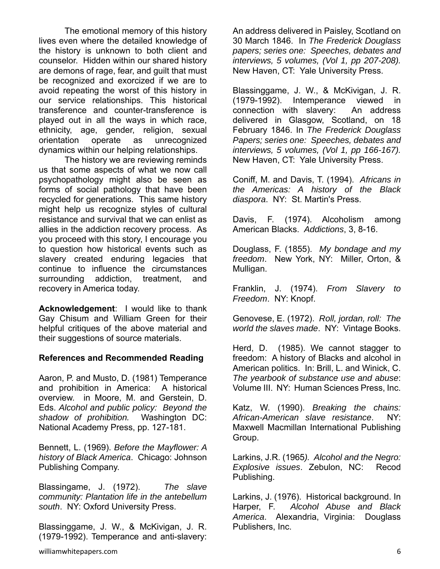The emotional memory of this history lives even where the detailed knowledge of the history is unknown to both client and counselor. Hidden within our shared history are demons of rage, fear, and guilt that must be recognized and exorcized if we are to avoid repeating the worst of this history in our service relationships. This historical transference and counter-transference is played out in all the ways in which race, ethnicity, age, gender, religion, sexual orientation operate as unrecognized dynamics within our helping relationships.

The history we are reviewing reminds us that some aspects of what we now call psychopathology might also be seen as forms of social pathology that have been recycled for generations. This same history might help us recognize styles of cultural resistance and survival that we can enlist as allies in the addiction recovery process. As you proceed with this story, I encourage you to question how historical events such as slavery created enduring legacies that continue to influence the circumstances surrounding addiction, treatment, and recovery in America today.

**Acknowledgement**: I would like to thank Gay Chisum and William Green for their helpful critiques of the above material and their suggestions of source materials.

#### **References and Recommended Reading**

Aaron, P. and Musto, D. (1981) Temperance and prohibition in America: A historical overview. in Moore, M. and Gerstein, D. Eds. *Alcohol and public policy: Beyond the shadow of prohibition.* Washington DC: National Academy Press, pp. 127-181.

Bennett, L. (1969). *Before the Mayflower: A history of Black America*. Chicago: Johnson Publishing Company.

Blassingame, J. (1972). *The slave community: Plantation life in the antebellum south*. NY: Oxford University Press.

Blassinggame, J. W., & McKivigan, J. R. (1979-1992). Temperance and anti-slavery:

An address delivered in Paisley, Scotland on 30 March 1846. In *The Frederick Douglass papers; series one: Speeches, debates and interviews, 5 volumes, (Vol 1, pp 207-208).* New Haven, CT: Yale University Press.

Blassinggame, J. W., & McKivigan, J. R. (1979-1992). Intemperance viewed in connection with slavery: An address delivered in Glasgow, Scotland, on 18 February 1846. In *The Frederick Douglass Papers; series one: Speeches, debates and interviews, 5 volumes, (Vol 1, pp 166-167).* New Haven, CT: Yale University Press.

Coniff, M. and Davis, T. (1994). *Africans in the Americas: A history of the Black diaspora*. NY: St. Martin's Press.

Davis, F. (1974). Alcoholism among American Blacks. *Addictions*, 3, 8-16.

Douglass, F. (1855). *My bondage and my freedom*. New York, NY: Miller, Orton, & Mulligan.

Franklin, J. (1974). *From Slavery to Freedom*. NY: Knopf.

Genovese, E. (1972). *Roll, jordan, roll: The world the slaves made*. NY: Vintage Books.

Herd, D. (1985). We cannot stagger to freedom: A history of Blacks and alcohol in American politics. In: Brill, L. and Winick, C. *The yearbook of substance use and abuse*: Volume III. NY: Human Sciences Press, Inc.

Katz, W. (1990). *Breaking the chains: African-American slave resistance*. NY: Maxwell Macmillan International Publishing Group.

Larkins, J.R. (1965*). Alcohol and the Negro: Explosive issues*. Zebulon, NC: Recod Publishing.

Larkins, J. (1976). Historical background. In Harper, F. *Alcohol Abuse and Black America*. Alexandria, Virginia: Douglass Publishers, Inc.